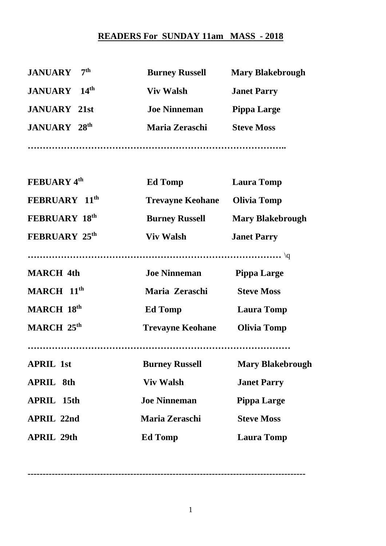## **READERS For SUNDAY 11am MASS - 2018**

| 7 <sup>th</sup><br><b>JANUARY</b>  | <b>Burney Russell</b>   | <b>Mary Blakebrough</b> |
|------------------------------------|-------------------------|-------------------------|
| 14 <sup>th</sup><br><b>JANUARY</b> | <b>Viv Walsh</b>        | <b>Janet Parry</b>      |
| <b>JANUARY 21st</b>                | <b>Joe Ninneman</b>     | <b>Pippa Large</b>      |
| <b>JANUARY 28th</b>                | Maria Zeraschi          | <b>Steve Moss</b>       |
|                                    |                         |                         |
| <b>FEBUARY 4th</b>                 | <b>Ed Tomp</b>          | <b>Laura Tomp</b>       |
| FEBRUARY 11th                      | <b>Trevayne Keohane</b> | <b>Olivia Tomp</b>      |
| <b>FEBRUARY 18th</b>               | <b>Burney Russell</b>   | <b>Mary Blakebrough</b> |
| <b>FEBRUARY 25th</b>               | <b>Viv Walsh</b>        | <b>Janet Parry</b>      |
|                                    |                         |                         |
| <b>MARCH 4th</b>                   | <b>Joe Ninneman</b>     | <b>Pippa Large</b>      |
| MARCH 11th                         | Maria Zeraschi          | <b>Steve Moss</b>       |
| MARCH 18th                         | <b>Ed Tomp</b>          | <b>Laura Tomp</b>       |
| MARCH 25th                         | <b>Trevayne Keohane</b> | <b>Olivia Tomp</b>      |
|                                    |                         |                         |
| <b>APRIL 1st</b>                   | <b>Burney Russell</b>   | <b>Mary Blakebrough</b> |
| <b>APRIL 8th</b>                   | <b>Viv Walsh</b>        | <b>Janet Parry</b>      |
| <b>APRIL 15th</b>                  | <b>Joe Ninneman</b>     | <b>Pippa Large</b>      |
| <b>APRIL 22nd</b>                  | Maria Zeraschi          | <b>Steve Moss</b>       |
| <b>APRIL 29th</b>                  | <b>Ed Tomp</b>          | <b>Laura Tomp</b>       |

**--------------------------------------------------------------------------------------------**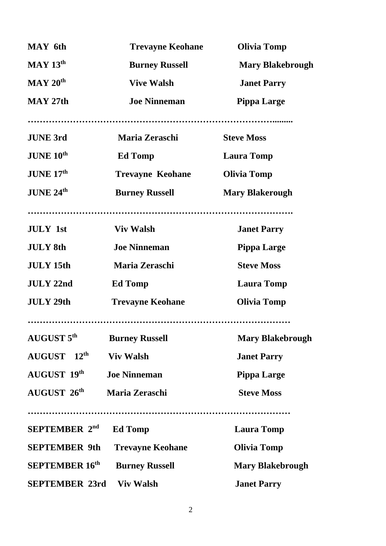| <b>MAY</b> 6th         | <b>Trevayne Keohane</b> | <b>Olivia Tomp</b>      |
|------------------------|-------------------------|-------------------------|
| $MAY$ 13 <sup>th</sup> | <b>Burney Russell</b>   | <b>Mary Blakebrough</b> |
| MAY 20 <sup>th</sup>   | <b>Vive Walsh</b>       | <b>Janet Parry</b>      |
| $MAY$ 27th             | <b>Joe Ninneman</b>     | <b>Pippa Large</b>      |
|                        |                         |                         |
| <b>JUNE 3rd</b>        | <b>Maria Zeraschi</b>   | <b>Steve Moss</b>       |
| JUNE 10 <sup>th</sup>  | <b>Ed Tomp</b>          | <b>Laura Tomp</b>       |
| JUNE 17th              | <b>Trevayne Keohane</b> | <b>Olivia Tomp</b>      |
| JUNE 24th              | <b>Burney Russell</b>   | <b>Mary Blakerough</b>  |
|                        |                         |                         |
| <b>JULY</b> 1st        | <b>Viv Walsh</b>        | <b>Janet Parry</b>      |
| <b>JULY 8th</b>        | <b>Joe Ninneman</b>     | <b>Pippa Large</b>      |
| <b>JULY 15th</b>       | Maria Zeraschi          | <b>Steve Moss</b>       |
| <b>JULY 22nd</b>       | <b>Ed Tomp</b>          | <b>Laura Tomp</b>       |
| <b>JULY 29th</b>       | <b>Trevayne Keohane</b> | <b>Olivia Tomp</b>      |
|                        |                         |                         |
| <b>AUGUST 5th</b>      | <b>Burney Russell</b>   | <b>Mary Blakebrough</b> |
| AUGUST 12th            | <b>Viv Walsh</b>        | <b>Janet Parry</b>      |
| AUGUST 19th            | <b>Joe Ninneman</b>     | <b>Pippa Large</b>      |
| AUGUST 26th            | Maria Zeraschi          | <b>Steve Moss</b>       |
|                        |                         |                         |
| <b>SEPTEMBER 2nd</b>   | <b>Ed Tomp</b>          | <b>Laura Tomp</b>       |
| <b>SEPTEMBER 9th</b>   | <b>Trevayne Keohane</b> | <b>Olivia Tomp</b>      |
| <b>SEPTEMBER 16th</b>  | <b>Burney Russell</b>   | <b>Mary Blakebrough</b> |
| <b>SEPTEMBER 23rd</b>  | <b>Viv Walsh</b>        | <b>Janet Parry</b>      |